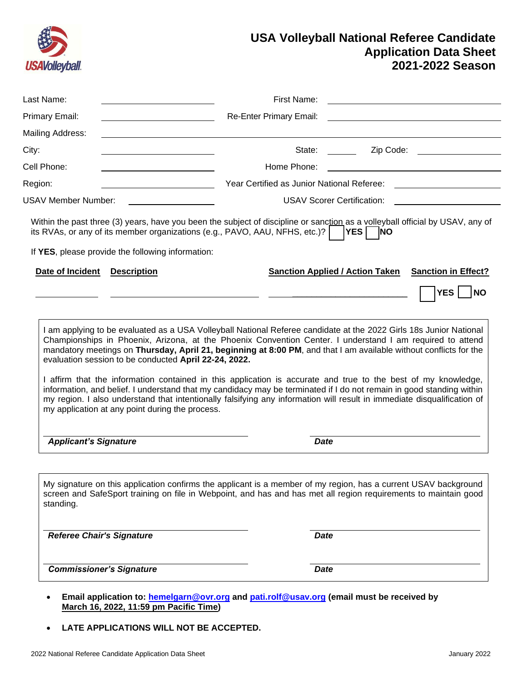

# **USA Volleyball National Referee Candidate Application Data Sheet 2021-2022 Season**

| Last Name:                                            | First Name:                                                                                                                                                                                                                                                                                                                                                      |                                                                      |  |
|-------------------------------------------------------|------------------------------------------------------------------------------------------------------------------------------------------------------------------------------------------------------------------------------------------------------------------------------------------------------------------------------------------------------------------|----------------------------------------------------------------------|--|
| Primary Email:                                        | Re-Enter Primary Email:                                                                                                                                                                                                                                                                                                                                          |                                                                      |  |
| Mailing Address:                                      |                                                                                                                                                                                                                                                                                                                                                                  |                                                                      |  |
| City:                                                 | State:                                                                                                                                                                                                                                                                                                                                                           | Zip Code: <u>___________________</u>                                 |  |
| Cell Phone:                                           | Home Phone:                                                                                                                                                                                                                                                                                                                                                      |                                                                      |  |
| Region:                                               | Year Certified as Junior National Referee:                                                                                                                                                                                                                                                                                                                       |                                                                      |  |
| <b>USAV Member Number:</b>                            |                                                                                                                                                                                                                                                                                                                                                                  | <b>USAV Scorer Certification:</b>                                    |  |
| If YES, please provide the following information:     | Within the past three (3) years, have you been the subject of discipline or sanction as a volleyball official by USAV, any of<br>its RVAs, or any of its member organizations (e.g., PAVO, AAU, NFHS, etc.)?                                                                                                                                                     | YES<br><b>INO</b>                                                    |  |
| Date of Incident<br><b>Description</b>                |                                                                                                                                                                                                                                                                                                                                                                  | <b>Sanction Applied / Action Taken</b><br><b>Sanction in Effect?</b> |  |
|                                                       |                                                                                                                                                                                                                                                                                                                                                                  | <b>YES</b><br><b>NO</b>                                              |  |
|                                                       |                                                                                                                                                                                                                                                                                                                                                                  |                                                                      |  |
| evaluation session to be conducted April 22-24, 2022. | I am applying to be evaluated as a USA Volleyball National Referee candidate at the 2022 Girls 18s Junior National<br>Championships in Phoenix, Arizona, at the Phoenix Convention Center. I understand I am required to attend<br>mandatory meetings on Thursday, April 21, beginning at 8:00 PM, and that I am available without conflicts for the             |                                                                      |  |
| my application at any point during the process.       | I affirm that the information contained in this application is accurate and true to the best of my knowledge,<br>information, and belief. I understand that my candidacy may be terminated if I do not remain in good standing within<br>my region. I also understand that intentionally falsifying any information will result in immediate disqualification of |                                                                      |  |
| <b>Applicant's Signature</b>                          | <b>Date</b>                                                                                                                                                                                                                                                                                                                                                      |                                                                      |  |
| standing.                                             | My signature on this application confirms the applicant is a member of my region, has a current USAV background<br>screen and SafeSport training on file in Webpoint, and has and has met all region requirements to maintain good                                                                                                                               |                                                                      |  |
| <b>Referee Chair's Signature</b>                      | <b>Date</b>                                                                                                                                                                                                                                                                                                                                                      |                                                                      |  |

• **LATE APPLICATIONS WILL NOT BE ACCEPTED.**